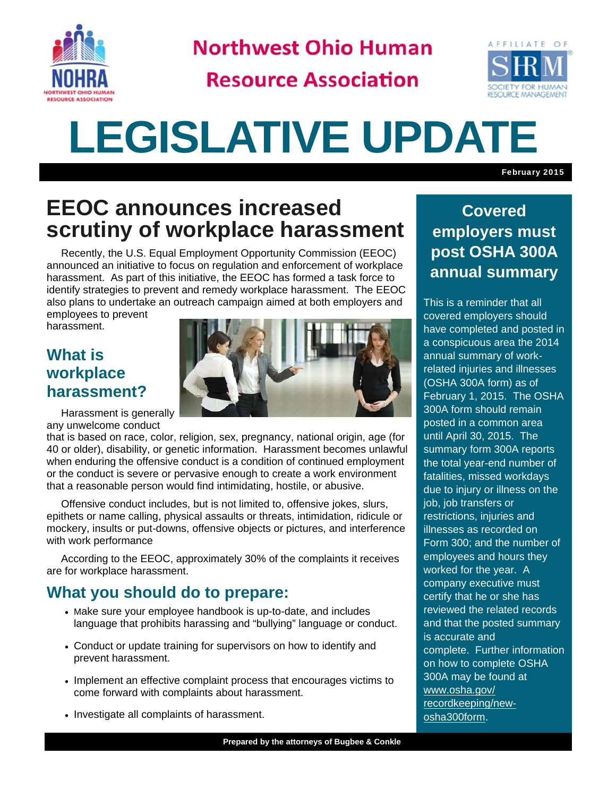

**Northwest Ohio Human** 

**Resource Association** 



# **LEGISLATIVE UPDATE**

February 2015

## **EEOC announces increased scrutiny of workplace harassment**

Recently, the U.S. Equal Employment Opportunity Commission (EEOC) announced an initiative to focus on regulation and enforcement of workplace harassment. As part of this initiative, the EEOC has formed a task force to identify strategies to prevent and remedy workplace harassment. The EEOC also plans to undertake an outreach campaign aimed at both employers and employees to prevent

harassment.

#### **What is workplace harassment?**



Harassment is generally any unwelcome conduct

that is based on race, color, religion, sex, pregnancy, national origin, age (for 40 or older), disability, or genetic information. Harassment becomes unlawful when enduring the offensive conduct is a condition of continued employment or the conduct is severe or pervasive enough to create a work environment that a reasonable person would find intimidating, hostile, or abusive.

 Offensive conduct includes, but is not limited to, offensive jokes, slurs, epithets or name calling, physical assaults or threats, intimidation, ridicule or mockery, insults or put-downs, offensive objects or pictures, and interference with work performance

 According to the EEOC, approximately 30% of the complaints it receives are for workplace harassment.

#### **What you should do to prepare:**

- Make sure your employee handbook is up-to-date, and includes language that prohibits harassing and "bullying" language or conduct.
- Conduct or update training for supervisors on how to identify and prevent harassment.
- Implement an effective complaint process that encourages victims to come forward with complaints about harassment.
- Investigate all complaints of harassment.

### **Covered employers must post OSHA 300A annual summary**

This is a reminder that all covered employers should have completed and posted in a conspicuous area the 2014 annual summary of workrelated injuries and illnesses (OSHA 300A form) as of February 1, 2015. The OSHA 300A form should remain posted in a common area until April 30, 2015. The summary form 300A reports the total year-end number of fatalities, missed workdays due to injury or illness on the job, job transfers or restrictions, injuries and illnesses as recorded on Form 300; and the number of employees and hours they worked for the year. A company executive must certify that he or she has reviewed the related records and that the posted summary is accurate and complete. Further information on how to complete OSHA 300A may be found at www.osha.gov/ recordkeeping/newosha300form.